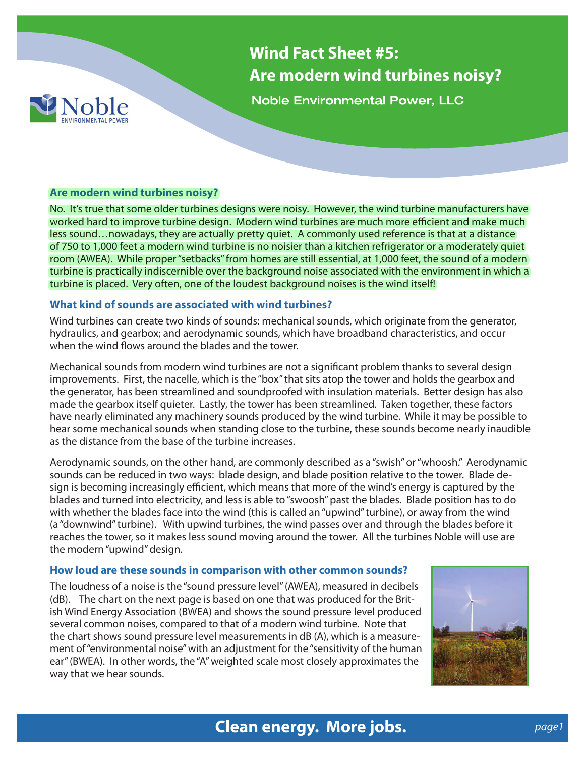

**Wind Fact Sheet #5: Are modern wind turbines noisy?**

**Noble Environmental Power, LLC** 

### **Are modern wind turbines noisy?**

No. It's true that some older turbines designs were noisy. However, the wind turbine manufacturers have worked hard to improve turbine design. Modern wind turbines are much more efficient and make much less sound…nowadays, they are actually pretty quiet. A commonly used reference is that at a distance of 750 to 1,000 feet a modern wind turbine is no noisier than a kitchen refrigerator or a moderately quiet room (AWEA). While proper "setbacks" from homes are still essential, at 1,000 feet, the sound of a modern turbine is practically indiscernible over the background noise associated with the environment in which a turbine is placed. Very often, one of the loudest background noises is the wind itself!

### **What kind of sounds are associated with wind turbines?**

Wind turbines can create two kinds of sounds: mechanical sounds, which originate from the generator, hydraulics, and gearbox; and aerodynamic sounds, which have broadband characteristics, and occur when the wind flows around the blades and the tower.

Mechanical sounds from modern wind turbines are not a significant problem thanks to several design improvements. First, the nacelle, which is the "box" that sits atop the tower and holds the gearbox and the generator, has been streamlined and soundproofed with insulation materials. Better design has also made the gearbox itself quieter. Lastly, the tower has been streamlined. Taken together, these factors have nearly eliminated any machinery sounds produced by the wind turbine. While it may be possible to hear some mechanical sounds when standing close to the turbine, these sounds become nearly inaudible as the distance from the base of the turbine increases.

Aerodynamic sounds, on the other hand, are commonly described as a "swish" or "whoosh." Aerodynamic sounds can be reduced in two ways: blade design, and blade position relative to the tower. Blade design is becoming increasingly efficient, which means that more of the wind's energy is captured by the blades and turned into electricity, and less is able to "swoosh" past the blades. Blade position has to do with whether the blades face into the wind (this is called an "upwind" turbine), or away from the wind (a "downwind" turbine). With upwind turbines, the wind passes over and through the blades before it reaches the tower, so it makes less sound moving around the tower. All the turbines Noble will use are the modern "upwind" design.

### **How loud are these sounds in comparison with other common sounds?**

The loudness of a noise is the "sound pressure level" (AWEA), measured in decibels (dB). The chart on the next page is based on one that was produced for the British Wind Energy Association (BWEA) and shows the sound pressure level produced several common noises, compared to that of a modern wind turbine. Note that the chart shows sound pressure level measurements in dB (A), which is a measurement of "environmental noise" with an adjustment for the "sensitivity of the human ear" (BWEA). In other words, the "A" weighted scale most closely approximates the way that we hear sounds.



# **Clean energy. More jobs. Clean energy. More jobs.**